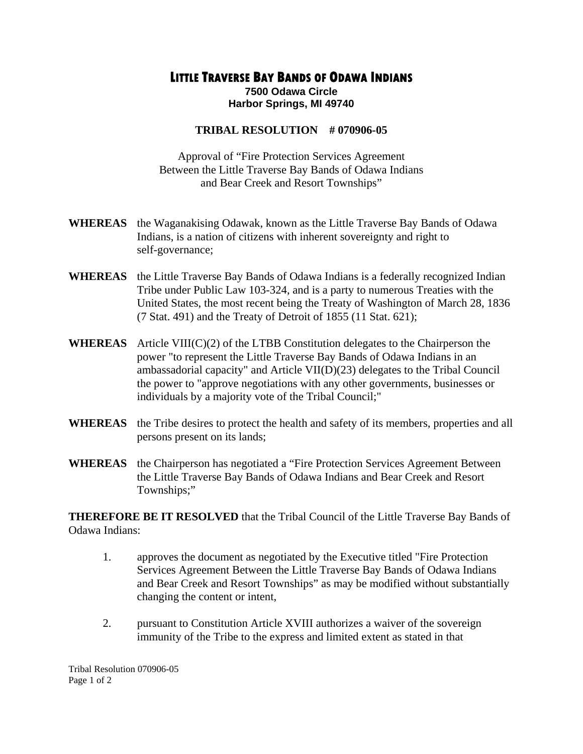## **LITTLE TRAVERSE BAY BANDS OF ODAWA INDIANS**

**7500 Odawa Circle Harbor Springs, MI 49740** 

## **TRIBAL RESOLUTION # 070906-05**

Approval of "Fire Protection Services Agreement Between the Little Traverse Bay Bands of Odawa Indians and Bear Creek and Resort Townships"

- **WHEREAS** the Waganakising Odawak, known as the Little Traverse Bay Bands of Odawa Indians, is a nation of citizens with inherent sovereignty and right to self-governance;
- **WHEREAS** the Little Traverse Bay Bands of Odawa Indians is a federally recognized Indian Tribe under Public Law 103-324, and is a party to numerous Treaties with the United States, the most recent being the Treaty of Washington of March 28, 1836 (7 Stat. 491) and the Treaty of Detroit of 1855 (11 Stat. 621);
- **WHEREAS** Article VIII(C)(2) of the LTBB Constitution delegates to the Chairperson the power "to represent the Little Traverse Bay Bands of Odawa Indians in an ambassadorial capacity" and Article VII(D)(23) delegates to the Tribal Council the power to "approve negotiations with any other governments, businesses or individuals by a majority vote of the Tribal Council;"
- **WHEREAS** the Tribe desires to protect the health and safety of its members, properties and all persons present on its lands;
- **WHEREAS** the Chairperson has negotiated a "Fire Protection Services Agreement Between the Little Traverse Bay Bands of Odawa Indians and Bear Creek and Resort Townships;"

**THEREFORE BE IT RESOLVED** that the Tribal Council of the Little Traverse Bay Bands of Odawa Indians:

- 1. approves the document as negotiated by the Executive titled "Fire Protection Services Agreement Between the Little Traverse Bay Bands of Odawa Indians and Bear Creek and Resort Townships" as may be modified without substantially changing the content or intent,
- 2. pursuant to Constitution Article XVIII authorizes a waiver of the sovereign immunity of the Tribe to the express and limited extent as stated in that

Tribal Resolution 070906-05 Page 1 of 2